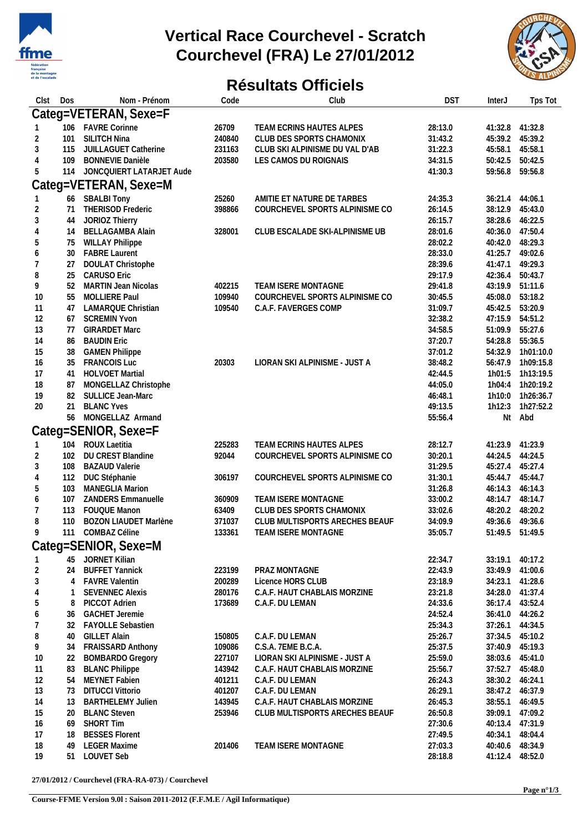

## **Vertical Race Courchevel - Scratch Courchevel (FRA) Le 27/01/2012**



## **Résultats Officiels**

| Clst           | Dos            | Nom - Prénom                            | Code   | Club                           | <b>DST</b> | <b>InterJ</b>      | Tps Tot            |
|----------------|----------------|-----------------------------------------|--------|--------------------------------|------------|--------------------|--------------------|
|                |                | Categ=VETERAN, Sexe=F                   |        |                                |            |                    |                    |
|                |                | 106 FAVRE Corinne                       | 26709  | TEAM ECRINS HAUTES ALPES       | 28:13.0    | 41:32.8 41:32.8    |                    |
| 2              | 101            | SILITCH Nina                            | 240840 | CLUB DES SPORTS CHAMONIX       | 31:43.2    | 45:39.2            | 45:39.2            |
| 3              | 115            | JUILLAGUET Catherine                    | 231163 | CLUB SKI ALPINISME DU VAL D'AB | 31:22.3    | 45:58.1            | 45:58.1            |
| $\overline{4}$ | 109            | <b>BONNEVIE Danièle</b>                 | 203580 | LES CAMOS DU ROIGNAIS          | 34:31.5    | 50:42.5            | 50:42.5            |
| 5              | 114            | JONCQUIERT LATARJET Aude                |        |                                | 41:30.3    | 59:56.8            | 59:56.8            |
|                |                |                                         |        |                                |            |                    |                    |
|                |                | Categ=VETERAN, Sexe=M                   |        |                                |            |                    |                    |
|                |                | 66 SBALBI Tony                          | 25260  | AMITIE ET NATURE DE TARBES     | 24:35.3    | 36:21.4            | 44:06.1            |
| 2              | 71             | THERISOD Frederic                       | 398866 | COURCHEVEL SPORTS ALPINISME CO | 26:14.5    | 38:12.9            | 45:43.0            |
| 3              | 44             | JORIOZ Thierry                          |        |                                | 26:15.7    | 38:28.6            | 46:22.5            |
| 4              | 14             | <b>BELLAGAMBA Alain</b>                 | 328001 | CLUB ESCALADE SKI-ALPINISME UB | 28:01.6    | 40:36.0            | 47:50.4            |
| 5              | 75             | <b>WILLAY Philippe</b>                  |        |                                | 28:02.2    | 40:42.0            | 48:29.3            |
| 6              | 30             | <b>FABRE Laurent</b>                    |        |                                | 28:33.0    | 41:25.7            | 49:02.6            |
| 7              | 27             | DOULAT Christophe                       |        |                                | 28:39.6    | 41:47.1            | 49:29.3            |
| 8              | 25             | <b>CARUSO Eric</b>                      |        |                                | 29:17.9    | 42:36.4            | 50:43.7            |
| 9              | 52             | <b>MARTIN Jean Nicolas</b>              | 402215 | TEAM ISERE MONTAGNE            | 29:41.8    | 43:19.9            | 51:11.6            |
| 10             | 55             | MOLLIERE Paul                           | 109940 | COURCHEVEL SPORTS ALPINISME CO | 30:45.5    | 45:08.0            | 53:18.2            |
| 11             | 47             | LAMARQUE Christian                      | 109540 | C.A.F. FAVERGES COMP           | 31:09.7    | 45:42.5            | 53:20.9            |
| 12             | 67             | <b>SCREMIN Yvon</b>                     |        |                                | 32:38.2    | 47:15.9            | 54:51.2            |
| 13             | 77             | <b>GIRARDET Marc</b>                    |        |                                | 34:58.5    | 51:09.9            | 55:27.6            |
| 14             | 86             | <b>BAUDIN Eric</b>                      |        |                                | 37:20.7    | 54:28.8            | 55:36.5            |
| 15             | 38             | <b>GAMEN Philippe</b>                   |        |                                | 37:01.2    | 54:32.9            | 1h01:10.0          |
| 16             | 35             | <b>FRANCOIS Luc</b>                     | 20303  | LIORAN SKI ALPINISME - JUST A  | 38:48.2    | 56:47.9            | 1h09:15.8          |
| 17             | 41             | HOLVOET Martial                         |        |                                | 42:44.5    | 1h01:5             | 1h13:19.5          |
| 18             | 87             | MONGELLAZ Christophe                    |        |                                | 44:05.0    | 1h04:4             | 1h20:19.2          |
| 19             | 82             | SULLICE Jean-Marc                       |        |                                | 46:48.1    | 1h10:0             | 1h26:36.7          |
| 20             | 21             | <b>BLANC Yves</b>                       |        |                                | 49:13.5    | 1h12:3             | 1h27:52.2          |
|                | 56             | MONGELLAZ Armand                        |        |                                | 55:56.4    |                    | Nt Abd             |
|                |                | Categ=SENIOR, Sexe=F                    |        |                                |            |                    |                    |
|                | 104            | ROUX Laetitia                           | 225283 | TEAM ECRINS HAUTES ALPES       | 28:12.7    |                    | 41:23.9            |
| 2              | 102            | DU CREST Blandine                       | 92044  | COURCHEVEL SPORTS ALPINISME CO | 30:20.1    | 41:23.9<br>44:24.5 | 44:24.5            |
|                |                |                                         |        |                                |            |                    |                    |
| 3              | 108            | <b>BAZAUD Valerie</b>                   |        |                                | 31:29.5    | 45:27.4            | 45:27.4            |
| 4<br>5         | 112<br>103     | DUC Stéphanie<br><b>MANEGLIA Marion</b> | 306197 | COURCHEVEL SPORTS ALPINISME CO | 31:30.1    | 45:44.7            | 45:44.7<br>46:14.3 |
|                |                | <b>ZANDERS</b> Emmanuelle               |        |                                | 31:26.8    | 46:14.3            |                    |
| 6              | 107            |                                         | 360909 | TEAM ISERE MONTAGNE            | 33:00.2    | 48:14.7            | 48:14.7            |
| $\overline{1}$ | 113            | FOUQUE Manon                            | 63409  | CLUB DES SPORTS CHAMONIX       | 33:02.6    | 48:20.2            | 48:20.2            |
| 8              | 110            | <b>BOZON LIAUDET Marlène</b>            | 371037 | CLUB MULTISPORTS ARECHES BEAUF | 34:09.9    | 49:36.6            | 49:36.6            |
| 9              | 111            | COMBAZ Céline                           | 133361 | TEAM ISERE MONTAGNE            | 35:05.7    | 51:49.5 51:49.5    |                    |
|                |                | Categ=SENIOR, Sexe=M                    |        |                                |            |                    |                    |
|                |                | 45 JORNET Kilian                        |        |                                | 22:34.7    | 33:19.1            | 40:17.2            |
| 2              | 24             | <b>BUFFET Yannick</b>                   | 223199 | PRAZ MONTAGNE                  | 22:43.9    | 33:49.9 41:00.6    |                    |
| 3              | $\overline{4}$ | <b>FAVRE Valentin</b>                   | 200289 | Licence HORS CLUB              | 23:18.9    |                    | 34:23.1 41:28.6    |
| 4              | $\mathbf{1}$   | <b>SEVENNEC Alexis</b>                  | 280176 | C.A.F. HAUT CHABLAIS MORZINE   | 23:21.8    |                    | 34:28.0 41:37.4    |
| 5              | 8              | PICCOT Adrien                           | 173689 | C.A.F. DU LEMAN                | 24:33.6    |                    | 36:17.4 43:52.4    |
| 6              | 36             | <b>GACHET Jeremie</b>                   |        |                                | 24:52.4    | 36:41.0            | 44:26.2            |
| 7              | 32             | FAYOLLE Sebastien                       |        |                                | 25:34.3    | 37:26.1            | 44:34.5            |
| 8              | 40             | <b>GILLET Alain</b>                     | 150805 | C.A.F. DU LEMAN                | 25:26.7    | 37:34.5 45:10.2    |                    |
| 9              | 34             | <b>FRAISSARD Anthony</b>                | 109086 | C.S.A. 7EME B.C.A.             | 25:37.5    | 37:40.9            | 45:19.3            |
| 10             | 22             | <b>BOMBARDO Gregory</b>                 | 227107 | LIORAN SKI ALPINISME - JUST A  | 25:59.0    | 38:03.6            | 45:41.0            |
| 11             | 83             | <b>BLANC Philippe</b>                   | 143942 | C.A.F. HAUT CHABLAIS MORZINE   | 25:56.7    | 37:52.7            | 45:48.0            |
| 12             | 54             | MEYNET Fabien                           | 401211 | C.A.F. DU LEMAN                | 26:24.3    | 38:30.2            | 46:24.1            |
| 13             | 73             | <b>DITUCCI Vittorio</b>                 | 401207 | C.A.F. DU LEMAN                | 26:29.1    |                    | 38:47.2 46:37.9    |
| 14             | 13             | <b>BARTHELEMY Julien</b>                | 143945 | C.A.F. HAUT CHABLAIS MORZINE   | 26:45.3    | 38:55.1            | 46:49.5            |
| 15             | 20             | <b>BLANC Steven</b>                     | 253946 | CLUB MULTISPORTS ARECHES BEAUF | 26:50.8    | 39:09.1            | 47:09.2            |
| 16             | 69             | <b>SHORT Tim</b>                        |        |                                | 27:30.6    | 40:13.4 47:31.9    |                    |
| 17             | 18             | <b>BESSES Florent</b>                   |        |                                | 27:49.5    | 40:34.1            | 48:04.4            |
| 18             | 49             | <b>LEGER Maxime</b>                     | 201406 | TEAM ISERE MONTAGNE            | 27:03.3    | 40:40.6            | 48:34.9            |
| 19             | 51             | LOUVET Seb                              |        |                                | 28:18.8    | 41:12.4            | 48:52.0            |
|                |                |                                         |        |                                |            |                    |                    |

**27/01/2012 / Courchevel (FRA-RA-073) / Courchevel**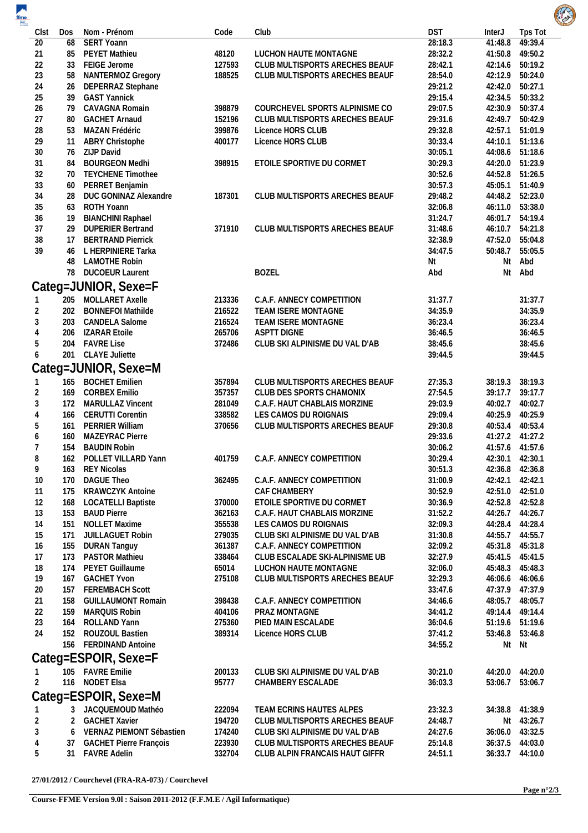| $\begin{array}{c}\n\hline\n\text{ffme} \\ \hline\n\text{ffme} \\ \hline\n\end{array}$ |     |                               |        |                                |            |                 |                 | <b>ALL SA</b> |
|---------------------------------------------------------------------------------------|-----|-------------------------------|--------|--------------------------------|------------|-----------------|-----------------|---------------|
| Clst                                                                                  | Dos | Nom - Prénom                  | Code   | Club                           | <b>DST</b> | InterJ          | Tps Tot         |               |
| 20                                                                                    | 68  | <b>SERT Yoann</b>             |        |                                | 28:18.3    | 41:48.8         | 49:39.4         |               |
| 21                                                                                    | 85  | PEYET Mathieu                 | 48120  | LUCHON HAUTE MONTAGNE          | 28:32.2    |                 | 41:50.8 49:50.2 |               |
| 22                                                                                    | 33  | FEIGE Jerome                  | 127593 | CLUB MULTISPORTS ARECHES BEAUF | 28:42.1    |                 | 42:14.6 50:19.2 |               |
| 23                                                                                    | 58  | NANTERMOZ Gregory             | 188525 | CLUB MULTISPORTS ARECHES BEAUF | 28:54.0    |                 | 42:12.9 50:24.0 |               |
| 24                                                                                    | 26  | DEPERRAZ Stephane             |        |                                | 29:21.2    | 42:42.0 50:27.1 |                 |               |
| 25                                                                                    | 39  | <b>GAST Yannick</b>           |        |                                | 29:15.4    | 42:34.5         | 50:33.2         |               |
| 26                                                                                    | 79  | CAVAGNA Romain                | 398879 | COURCHEVEL SPORTS ALPINISME CO | 29:07.5    |                 | 42:30.9 50:37.4 |               |
| 27                                                                                    | 80  | <b>GACHET Arnaud</b>          | 152196 | CLUB MULTISPORTS ARECHES BEAUF | 29:31.6    |                 | 42:49.7 50:42.9 |               |
| 28                                                                                    | 53  | MAZAN Frédéric                | 399876 | Licence HORS CLUB              | 29:32.8    |                 | 42:57.1 51:01.9 |               |
| 29                                                                                    | 11  | <b>ABRY Christophe</b>        | 400177 | Licence HORS CLUB              | 30:33.4    |                 | 44:10.1 51:13.6 |               |
| 30                                                                                    |     | 76 ZIJP David                 |        |                                | 30:05.1    |                 | 44:08.6 51:18.6 |               |
| 31                                                                                    | 84  | <b>BOURGEON Medhi</b>         | 398915 | ETOILE SPORTIVE DU CORMET      | 30:29.3    |                 | 44:20.0 51:23.9 |               |
|                                                                                       | 70  | <b>TEYCHENE Timothee</b>      |        |                                | 30:52.6    |                 | 44:52.8 51:26.5 |               |
| 32                                                                                    |     |                               |        |                                |            |                 |                 |               |
| 33                                                                                    | 60  | PERRET Benjamin               |        |                                | 30:57.3    |                 | 45:05.1 51:40.9 |               |
| 34                                                                                    | 28  | DUC GONINAZ Alexandre         | 187301 | CLUB MULTISPORTS ARECHES BEAUF | 29:48.2    |                 | 44:48.2 52:23.0 |               |
| 35                                                                                    | 63  | ROTH Yoann                    |        |                                | 32:06.8    |                 | 46:11.0 53:38.0 |               |
| 36                                                                                    | 19  | <b>BIANCHINI Raphael</b>      |        |                                | 31:24.7    |                 | 46:01.7 54:19.4 |               |
| 37                                                                                    | 29  | <b>DUPERIER Bertrand</b>      | 371910 | CLUB MULTISPORTS ARECHES BEAUF | 31:48.6    |                 | 46:10.7 54:21.8 |               |
| 38                                                                                    | 17  | <b>BERTRAND Pierrick</b>      |        |                                | 32:38.9    |                 | 47:52.0 55:04.8 |               |
| 39                                                                                    |     | 46 L HERPINIERE Tarka         |        |                                | 34:47.5    | 50:48.7         | 55:05.5         |               |
|                                                                                       | 48  | <b>LAMOTHE Robin</b>          |        |                                | Nt         | Nt              | Abd             |               |
|                                                                                       |     | 78 DUCOEUR Laurent            |        | <b>BOZEL</b>                   | Abd        | Nt              | Abd             |               |
|                                                                                       |     | Categ=JUNIOR, Sexe=F          |        |                                |            |                 |                 |               |
|                                                                                       |     | 205 MOLLARET Axelle           | 213336 | C.A.F. ANNECY COMPETITION      | 31:37.7    |                 | 31:37.7         |               |
| $\overline{c}$                                                                        |     | 202 BONNEFOI Mathilde         | 216522 | TEAM ISERE MONTAGNE            | 34:35.9    |                 | 34:35.9         |               |
| 3                                                                                     |     | 203 CANDELA Salome            | 216524 | TEAM ISERE MONTAGNE            | 36:23.4    |                 | 36:23.4         |               |
|                                                                                       | 206 | <b>IZARAR Etoile</b>          | 265706 | <b>ASPTT DIGNE</b>             | 36:46.5    |                 | 36:46.5         |               |
| 5                                                                                     | 204 | <b>FAVRE Lise</b>             | 372486 | CLUB SKI ALPINISME DU VAL D'AB | 38:45.6    |                 | 38:45.6         |               |
|                                                                                       |     |                               |        |                                |            |                 |                 |               |
|                                                                                       | 201 | <b>CLAYE Juliette</b>         |        |                                | 39:44.5    |                 | 39:44.5         |               |
|                                                                                       |     | Categ=JUNIOR, Sexe=M          |        |                                |            |                 |                 |               |
|                                                                                       |     | 165 BOCHET Emilien            | 357894 | CLUB MULTISPORTS ARECHES BEAUF | 27:35.3    | 38:19.3         | 38:19.3         |               |
| $\overline{2}$                                                                        | 169 | <b>CORBEX Emilio</b>          | 357357 | CLUB DES SPORTS CHAMONIX       | 27:54.5    |                 | 39:17.7 39:17.7 |               |
| 3                                                                                     | 172 | <b>MARULLAZ Vincent</b>       | 281049 | C.A.F. HAUT CHABLAIS MORZINE   | 29:03.9    |                 | 40:02.7 40:02.7 |               |
|                                                                                       | 166 | <b>CERUTTI Corentin</b>       | 338582 | LES CAMOS DU ROIGNAIS          | 29:09.4    |                 | 40:25.9 40:25.9 |               |
|                                                                                       | 161 | PERRIER William               | 370656 | CLUB MULTISPORTS ARECHES BEAUF | 29:30.8    |                 | 40:53.4 40:53.4 |               |
| 6                                                                                     | 160 | MAZEYRAC Pierre               |        |                                | 29:33.6    |                 | 41:27.2 41:27.2 |               |
|                                                                                       |     | 154 BAUDIN Robin              |        |                                | 30:06.2    |                 | 41:57.6 41:57.6 |               |
|                                                                                       |     |                               |        |                                |            |                 |                 |               |
| 8                                                                                     |     | 162 POLLET VILLARD Yann       | 401759 | C.A.F. ANNECY COMPETITION      | 30:29.4    |                 | 42:30.1 42:30.1 |               |
| 9                                                                                     | 163 | REY Nicolas                   |        |                                | 30:51.3    |                 | 42:36.8 42:36.8 |               |
| 10                                                                                    | 170 | <b>DAGUE Theo</b>             | 362495 | C.A.F. ANNECY COMPETITION      | 31:00.9    | 42:42.1 42:42.1 |                 |               |
| 11                                                                                    |     | 175 KRAWCZYK Antoine          |        | CAF CHAMBERY                   | 30:52.9    |                 | 42:51.0 42:51.0 |               |
| 12                                                                                    |     | 168 LOCATELLI Baptiste        | 370000 | ETOILE SPORTIVE DU CORMET      | 30:36.9    |                 | 42:52.8 42:52.8 |               |
| 13                                                                                    | 153 | <b>BAUD Pierre</b>            | 362163 | C.A.F. HAUT CHABLAIS MORZINE   | 31:52.2    |                 | 44:26.7 44:26.7 |               |
| 14                                                                                    | 151 | <b>NOLLET Maxime</b>          | 355538 | LES CAMOS DU ROIGNAIS          | 32:09.3    |                 | 44:28.4 44:28.4 |               |
| 15                                                                                    | 171 | JUILLAGUET Robin              | 279035 | CLUB SKI ALPINISME DU VAL D'AB | 31:30.8    |                 | 44:55.7 44:55.7 |               |
| 16                                                                                    | 155 | <b>DURAN Tanguy</b>           | 361387 | C.A.F. ANNECY COMPETITION      | 32:09.2    |                 | 45:31.8 45:31.8 |               |
| 17                                                                                    |     | 173 PASTOR Mathieu            | 338464 | CLUB ESCALADE SKI-ALPINISME UB | 32:27.9    |                 | 45:41.5 45:41.5 |               |
| 18                                                                                    | 174 | PEYET Guillaume               | 65014  | LUCHON HAUTE MONTAGNE          | 32:06.0    |                 | 45:48.3 45:48.3 |               |
| 19                                                                                    | 167 | <b>GACHET Yvon</b>            | 275108 | CLUB MULTISPORTS ARECHES BEAUF | 32:29.3    |                 | 46:06.6 46:06.6 |               |
| 20                                                                                    | 157 | <b>FEREMBACH Scott</b>        |        |                                | 33:47.6    |                 | 47:37.9 47:37.9 |               |
| 21                                                                                    | 158 | <b>GUILLAUMONT Romain</b>     | 398438 | C.A.F. ANNECY COMPETITION      | 34:46.6    |                 | 48:05.7 48:05.7 |               |
|                                                                                       |     |                               |        |                                |            |                 |                 |               |
| 22                                                                                    | 159 | MARQUIS Robin                 | 404106 | PRAZ MONTAGNE                  | 34:41.2    |                 | 49:14.4 49:14.4 |               |
| 23                                                                                    |     | 164 ROLLAND Yann              | 275360 | PIED MAIN ESCALADE             | 36:04.6    |                 | 51:19.6 51:19.6 |               |
| 24                                                                                    |     | 152 ROUZOUL Bastien           | 389314 | Licence HORS CLUB              | 37:41.2    |                 | 53:46.8 53:46.8 |               |
|                                                                                       |     | 156 FERDINAND Antoine         |        |                                | 34:55.2    |                 | Nt Nt           |               |
|                                                                                       |     | Categ=ESPOIR, Sexe=F          |        |                                |            |                 |                 |               |
|                                                                                       |     | 105 FAVRE Emilie              | 200133 | CLUB SKI ALPINISME DU VAL D'AB | 30:21.0    |                 | 44:20.0 44:20.0 |               |
| 2                                                                                     |     | 116 NODET Elsa                | 95777  | CHAMBERY ESCALADE              | 36:03.3    | 53:06.7         | 53:06.7         |               |
|                                                                                       |     | Categ=ESPOIR, Sexe=M          |        |                                |            |                 |                 |               |
|                                                                                       |     | 3 JACQUEMOUD Mathéo           | 222094 | TEAM ECRINS HAUTES ALPES       | 23:32.3    |                 | 34:38.8 41:38.9 |               |
| $\overline{2}$                                                                        |     | 2 GACHET Xavier               | 194720 | CLUB MULTISPORTS ARECHES BEAUF | 24:48.7    |                 | Nt 43:26.7      |               |
| 3                                                                                     | 6   | VERNAZ PIEMONT Sébastien      | 174240 | CLUB SKI ALPINISME DU VAL D'AB | 24:27.6    |                 | 36:06.0 43:32.5 |               |
| 4                                                                                     | 37  | <b>GACHET Pierre François</b> | 223930 | CLUB MULTISPORTS ARECHES BEAUF | 25:14.8    |                 | 36:37.5 44:03.0 |               |
| 5                                                                                     | 31  | <b>FAVRE Adelin</b>           | 332704 | CLUB ALPIN FRANCAIS HAUT GIFFR | 24:51.1    |                 | 36:33.7 44:10.0 |               |
|                                                                                       |     |                               |        |                                |            |                 |                 |               |

**27/01/2012 / Courchevel (FRA-RA-073) / Courchevel**